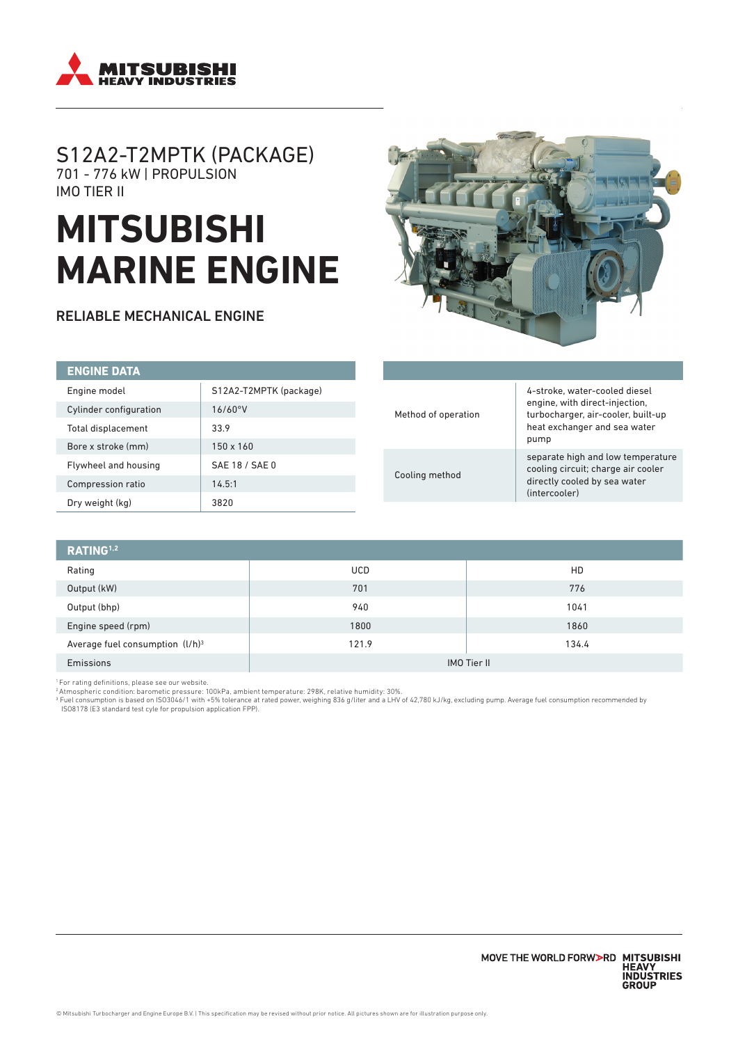

# S12A2-T2MPTK (PACKAGE) 701 - 776 kW | PROPULSION IMO TIER II

# **MITSUBISHI MARINE ENGINE**

RELIABLE MECHANICAL ENGINE



| <b>ENGINE DATA</b>          |                        |  |
|-----------------------------|------------------------|--|
| Engine model                | S12A2-T2MPTK (package) |  |
| Cylinder configuration      | 16/60°V                |  |
| Total displacement          | 33.9                   |  |
| Bore x stroke (mm)          | $150 \times 160$       |  |
| <b>Flywheel and housing</b> | SAE 18 / SAE 0         |  |
| Compression ratio           | 14.5:1                 |  |
| Dry weight (kg)             | 3820                   |  |

| Method of operation | 4-stroke, water-cooled diesel<br>engine, with direct-injection,<br>turbocharger, air-cooler, built-up<br>heat exchanger and sea water<br>pump |
|---------------------|-----------------------------------------------------------------------------------------------------------------------------------------------|
| Cooling method      | separate high and low temperature<br>cooling circuit; charge air cooler<br>directly cooled by sea water<br>(intercooler)                      |

| RATING <sup>1,2</sup>              |                    |       |  |
|------------------------------------|--------------------|-------|--|
| Rating                             | <b>UCD</b>         | HD    |  |
| Output (kW)                        | 701                | 776   |  |
| Output (bhp)                       | 940                | 1041  |  |
| Engine speed (rpm)                 | 1800               | 1860  |  |
| Average fuel consumption $(l/h)^3$ | 121.9              | 134.4 |  |
| Emissions                          | <b>IMO Tier II</b> |       |  |

1 For rating definitions, please see our website.

<sup>2</sup> Atmospheric condition: barometic pressure: 100kPa, ambient temperature: 298K, relative humidity: 30%.<br><sup>3</sup> Fuel consumption is based on ISO3046/1 with +5% tolerance at rated power, weighing 836 g/liter and a LHV of 42,7 ISO8178 (E3 standard test cyle for propulsion application FPP).